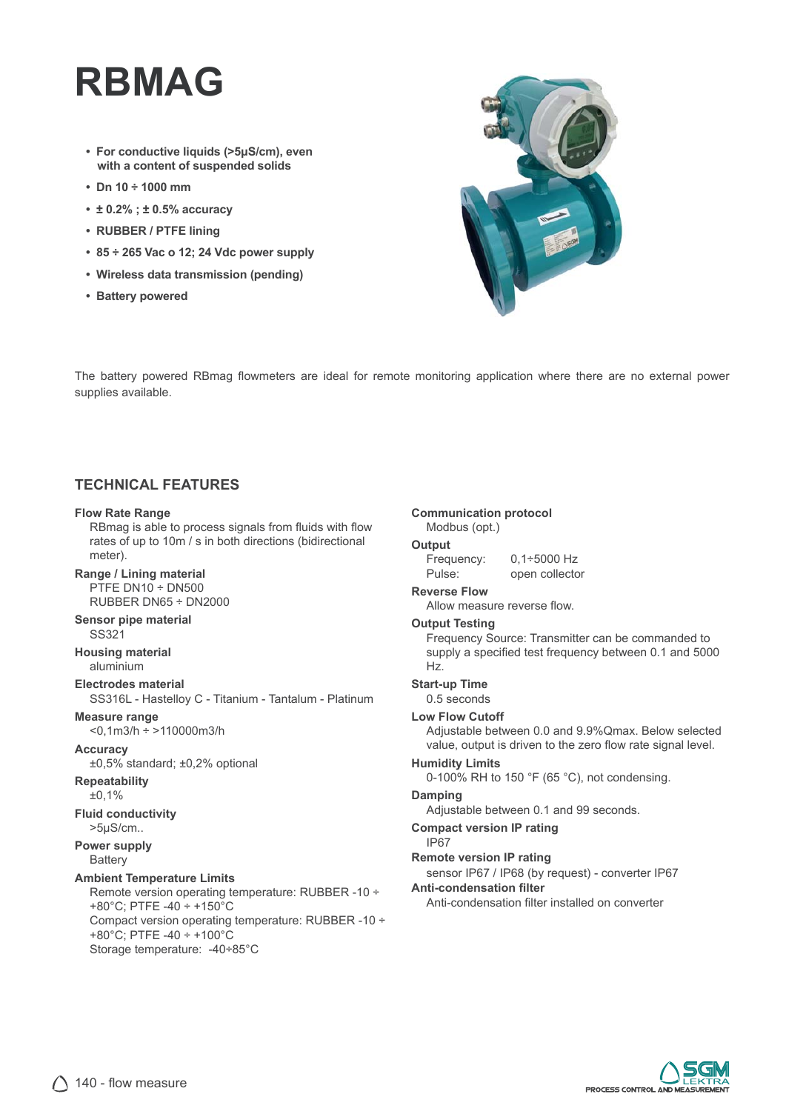# **RBMAG**

- **For conductive liquids (>5μS/cm), even with a content of suspended solids**
- **Dn 10 ÷ 1000 mm**
- **± 0.2% ; ± 0.5% accuracy**
- **RUBBER / PTFE lining**
- **85 ÷ 265 Vac o 12; 24 Vdc power supply**
- **Wireless data transmission (pending)**
- **Battery powered**



The battery powered RBmag flowmeters are ideal for remote monitoring application where there are no external power supplies available.

## **TECHNICAL FEATURES**

#### **Flow Rate Range**

RBmag is able to process signals from fluids with flow rates of up to 10m / s in both directions (bidirectional meter).

**Range / Lining material** PTFE DN10 ÷ DN500 RUBBER DN65 ÷ DN2000

#### **Sensor pipe material** SS321

**Housing material** aluminium

### **Electrodes material**

SS316L - Hastelloy C - Titanium - Tantalum - Platinum

**Measure range** <0,1m3/h ÷ >110000m3/h

#### **Accuracy**

±0,5% standard; ±0,2% optional

### **Repeatability**

±0,1%

#### **Fluid conductivity** >5μS/cm..

#### **Power supply Battery**

#### **Ambient Temperature Limits**

Remote version operating temperature: RUBBER -10 ÷ +80°C; PTFE -40 ÷ +150°C Compact version operating temperature: RUBBER -10 ÷ +80°C; PTFE -40 ÷ +100°C Storage temperature: -40÷85°C

### **Communication protocol**

#### Modbus (opt.) **Output**

Frequency: 0,1÷5000 Hz

| <u>ricyachcy.</u> | V, V, V, V, V, V, V |
|-------------------|---------------------|
| Pulse:            | open collector      |

#### **Reverse Flow**

Allow measure reverse flow.

#### **Output Testing**

Frequency Source: Transmitter can be commanded to supply a specified test frequency between 0.1 and 5000 Hz.

#### **Start-up Time**

0.5 seconds

#### **Low Flow Cutoff**

Adjustable between 0.0 and 9.9%Qmax. Below selected value, output is driven to the zero flow rate signal level.

#### **Humidity Limits**

0-100% RH to 150 °F (65 °C), not condensing.

#### **Damping**

Adjustable between 0.1 and 99 seconds.

- **Compact version IP rating**
	- IP67

#### **Remote version IP rating**

sensor IP67 / IP68 (by request) - converter IP67

#### **Anti-condensation fi lter**

Anti-condensation filter installed on converter

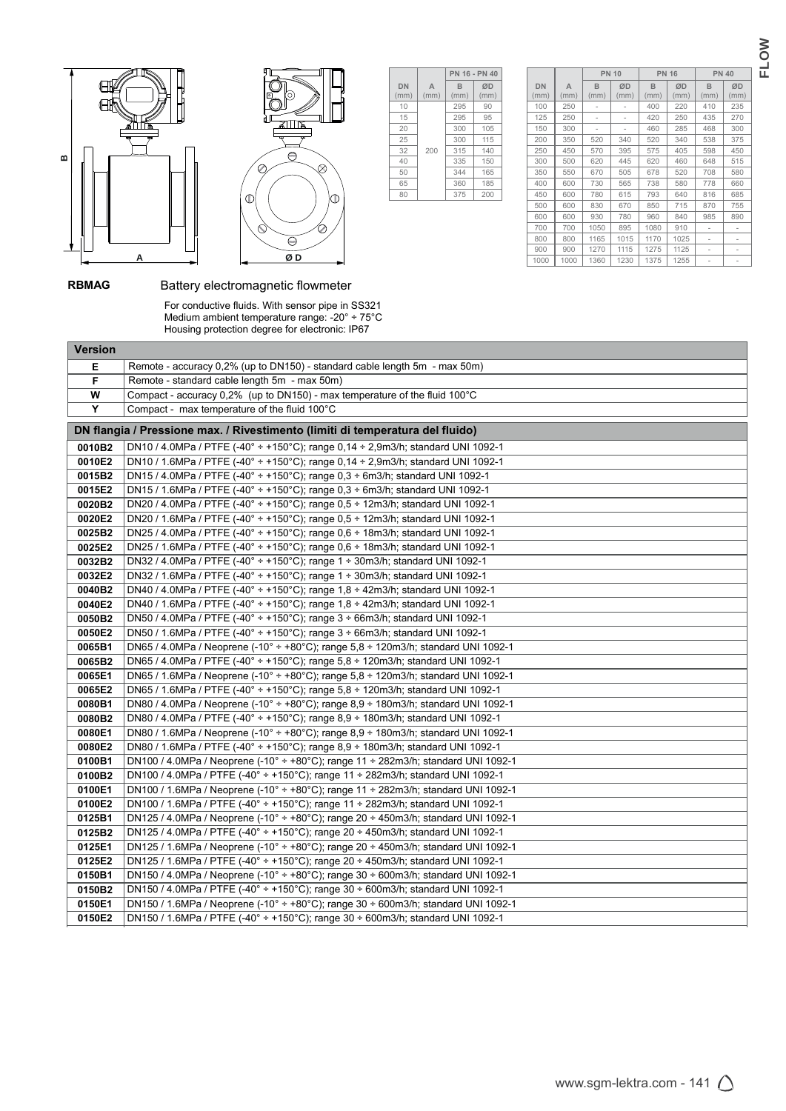



|            |           | PN 16 - PN 40 |            |
|------------|-----------|---------------|------------|
| DN<br>(mm) | A<br>(mm) | в<br>(mm)     | ØD<br>(mm) |
| 10         |           | 295           | 90         |
| 15         |           | 295           | 95         |
| 20         |           | 300           | 105        |
| 25         |           | 300           | 115        |
| 32         | 200       | 315           | 140        |
| 40         |           | 335           | 150        |
| 50         |           | 344           | 165        |
| 65         |           | 360           | 185        |
| 80         |           | 375           | 200        |

|                   |           | <b>PN 10</b>         |            | <b>PN 16</b> |            | <b>PN 40</b>         |            |
|-------------------|-----------|----------------------|------------|--------------|------------|----------------------|------------|
| <b>DN</b><br>(mm) | A<br>(mm) | <sub>R</sub><br>(mm) | ØD<br>(mm) | B<br>(mm)    | ØD<br>(mm) | <sub>R</sub><br>(mm) | ØD<br>(mm) |
| 100               | 250       |                      |            | 400          | 220        | 410                  | 235        |
| 125               | 250       |                      |            | 420          | 250        | 435                  | 270        |
| 150               | 300       |                      |            | 460          | 285        | 468                  | 300        |
| 200               | 350       | 520                  | 340        | 520          | 340        | 538                  | 375        |
| 250               | 450       | 570                  | 395        | 575          | 405        | 598                  | 450        |
| 300               | 500       | 620                  | 445        | 620          | 460        | 648                  | 515        |
| 350               | 550       | 670                  | 505        | 678          | 520        | 708                  | 580        |
| 400               | 600       | 730                  | 565        | 738          | 580        | 778                  | 660        |
| 450               | 600       | 780                  | 615        | 793          | 640        | 816                  | 685        |
| 500               | 600       | 830                  | 670        | 850          | 715        | 870                  | 755        |
| 600               | 600       | 930                  | 780        | 960          | 840        | 985                  | 890        |
| 700               | 700       | 1050                 | 895        | 1080         | 910        |                      |            |
| 800               | 800       | 1165                 | 1015       | 1170         | 1025       |                      |            |
| 900               | 900       | 1270                 | 1115       | 1275         | 1125       |                      |            |
| 1000              | 1000      | 1360                 | 1230       | 1375         | 1255       |                      |            |

# **RBMAG** Battery electromagnetic flowmeter

 For conductive fluids. With sensor pipe in SS321 Medium ambient temperature range: -20° ÷ 75°C Housing protection degree for electronic: IP67

| <b>Version</b>   |                                                                                                                                                                                                              |
|------------------|--------------------------------------------------------------------------------------------------------------------------------------------------------------------------------------------------------------|
| Е                | Remote - accuracy 0,2% (up to DN150) - standard cable length 5m - max 50m)                                                                                                                                   |
| F                | Remote - standard cable length 5m - max 50m)                                                                                                                                                                 |
| W                | Compact - accuracy $0.2\%$ (up to DN150) - max temperature of the fluid 100 $^{\circ}$ C                                                                                                                     |
| Y                | Compact - max temperature of the fluid $100^{\circ}$ C                                                                                                                                                       |
|                  | DN flangia / Pressione max. / Rivestimento (limiti di temperatura del fluido)                                                                                                                                |
| 0010B2           | DN10 / 4.0MPa / PTFE (-40° ÷ +150°C); range 0.14 ÷ 2.9m3/h; standard UNI 1092-1                                                                                                                              |
| 0010E2           | DN10 / 1.6MPa / PTFE (-40° ÷ +150°C); range 0,14 ÷ 2,9m3/h; standard UNI 1092-1                                                                                                                              |
| 0015B2           | DN15 / 4.0MPa / PTFE (-40° ÷ +150°C); range 0,3 ÷ 6m3/h; standard UNI 1092-1                                                                                                                                 |
| 0015E2           | DN15 / 1.6MPa / PTFE (-40° ÷ +150°C); range 0,3 ÷ 6m3/h; standard UNI 1092-1                                                                                                                                 |
| 0020B2           | DN20 / 4.0MPa / PTFE (-40° ÷ +150°C); range 0,5 ÷ 12m3/h; standard UNI 1092-1                                                                                                                                |
| 0020E2           | DN20 / 1.6MPa / PTFE (-40° ÷ +150°C); range 0,5 ÷ 12m3/h; standard UNI 1092-1                                                                                                                                |
| 0025B2           | DN25 / 4.0MPa / PTFE (-40° ÷ +150°C); range 0.6 ÷ 18m3/h; standard UNI 1092-1                                                                                                                                |
| 0025E2           | DN25 / 1.6MPa / PTFE (-40° ÷ +150°C); range 0.6 ÷ 18m3/h; standard UNI 1092-1                                                                                                                                |
| 0032B2           | DN32 / 4.0MPa / PTFE $(-40^{\circ} \div 150^{\circ}$ C); range 1 $\div$ 30m3/h; standard UNI 1092-1                                                                                                          |
| 0032E2           | DN32 / 1.6MPa / PTFE (-40° ÷ +150°C); range 1 ÷ 30m3/h; standard UNI 1092-1                                                                                                                                  |
| 0040B2           | DN40 / 4.0MPa / PTFE (-40° ÷ +150°C); range 1,8 ÷ 42m3/h; standard UNI 1092-1                                                                                                                                |
| 0040E2           | DN40 / 1.6MPa / PTFE (-40° ÷ +150°C); range 1.8 ÷ 42m3/h; standard UNI 1092-1                                                                                                                                |
| 0050B2           | DN50 / 4.0MPa / PTFE $(-40^{\circ} \div 150^{\circ} \text{C})$ ; range 3 $\div 66$ m3/h; standard UNI 1092-1                                                                                                 |
| 0050E2           | DN50 / 1.6MPa / PTFE (-40° ÷ +150°C); range $3 \div 66$ m3/h; standard UNI 1092-1                                                                                                                            |
| 0065B1           | DN65 / 4.0MPa / Neoprene (-10° ÷ +80°C); range 5,8 ÷ 120m3/h; standard UNI 1092-1                                                                                                                            |
| 0065B2           | DN65 / 4.0MPa / PTFE (-40° ÷ +150°C); range 5,8 ÷ 120m3/h; standard UNI 1092-1                                                                                                                               |
| 0065E1           | DN65 / 1.6MPa / Neoprene (-10° ÷ +80°C); range 5,8 ÷ 120m3/h; standard UNI 1092-1                                                                                                                            |
| 0065E2           | DN65 / 1.6MPa / PTFE (-40° ÷ +150°C); range 5,8 ÷ 120m3/h; standard UNI 1092-1                                                                                                                               |
| 0080B1           | DN80 / 4.0MPa / Neoprene (-10 $^{\circ}$ + +80 $^{\circ}$ C); range 8,9 + 180m3/h; standard UNI 1092-1                                                                                                       |
| 0080B2<br>0080E1 | DN80 / 4.0MPa / PTFE $(-40^{\circ} \div 150^{\circ} \text{C})$ ; range 8,9 $\div 180 \text{m}$ 3/h; standard UNI 1092-1<br>DN80 / 1.6MPa / Neoprene (-10° ÷ +80°C); range 8,9 ÷ 180m3/h; standard UNI 1092-1 |
| 0080E2           | DN80 / 1.6MPa / PTFE (-40° ÷ +150°C); range 8,9 ÷ 180m3/h; standard UNI 1092-1                                                                                                                               |
| 0100B1           | DN100 / 4.0MPa / Neoprene (-10° ÷ +80°C); range 11 ÷ 282m3/h; standard UNI 1092-1                                                                                                                            |
| 0100B2           | DN100 / 4.0MPa / PTFE (-40° ÷ +150°C); range 11 ÷ 282m3/h; standard UNI 1092-1                                                                                                                               |
| 0100E1           | DN100 / 1.6MPa / Neoprene (-10° ÷ +80°C); range 11 ÷ 282m3/h; standard UNI 1092-1                                                                                                                            |
| 0100E2           | DN100 / 1.6MPa / PTFE (-40° ÷ +150°C); range 11 ÷ 282m3/h; standard UNI 1092-1                                                                                                                               |
| 0125B1           | DN125 / 4.0MPa / Neoprene (-10° ÷ +80°C); range 20 ÷ 450m3/h; standard UNI 1092-1                                                                                                                            |
| 0125B2           | DN125 / 4.0MPa / PTFE (-40° ÷ +150°C); range 20 ÷ 450m3/h; standard UNI 1092-1                                                                                                                               |
| 0125E1           | DN125 / 1.6MPa / Neoprene (-10° ÷ +80°C); range 20 ÷ 450m3/h; standard UNI 1092-1                                                                                                                            |
| 0125E2           | DN125 / 1.6MPa / PTFE (-40° ÷ +150°C); range 20 ÷ 450m3/h; standard UNI 1092-1                                                                                                                               |
| 0150B1           | DN150 / 4.0MPa / Neoprene (-10° ÷ +80°C); range $30 \div 600$ m3/h; standard UNI 1092-1                                                                                                                      |
| 0150B2           | DN150 / 4.0MPa / PTFE (-40° ÷ +150°C); range 30 ÷ 600m3/h; standard UNI 1092-1                                                                                                                               |
| 0150E1           | DN150 / 1.6MPa / Neoprene (-10° ÷ +80°C); range $30 \div 600$ m3/h; standard UNI 1092-1                                                                                                                      |
| 0150E2           | DN150 / 1.6MPa / PTFE (-40° ÷ +150°C); range 30 ÷ 600m3/h; standard UNI 1092-1                                                                                                                               |
|                  |                                                                                                                                                                                                              |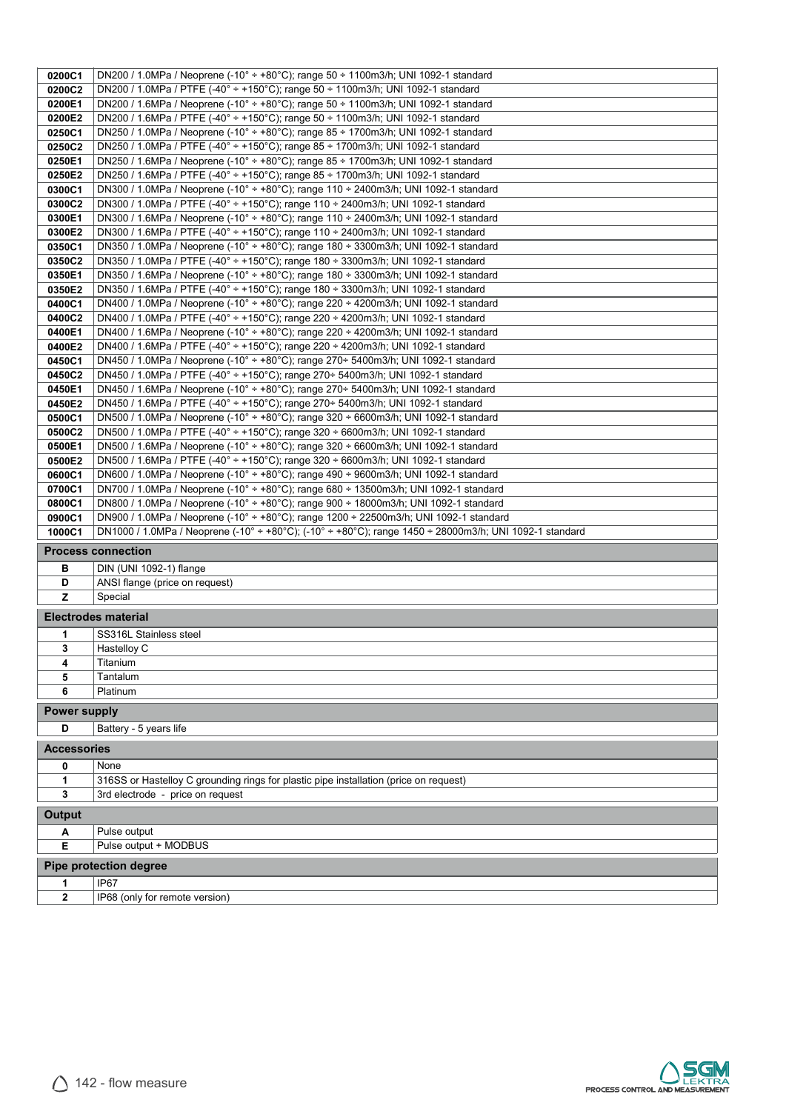| 0200C1              | DN200 / 1.0MPa / Neoprene (-10 $^{\circ}$ + +80 $^{\circ}$ C); range 50 + 1100m3/h; UNI 1092-1 standard                                                                 |
|---------------------|-------------------------------------------------------------------------------------------------------------------------------------------------------------------------|
| 0200C2              | DN200 / 1.0MPa / PTFE $(-40^{\circ} \div 150^{\circ}$ C); range 50 $\div 1100$ m3/h; UNI 1092-1 standard                                                                |
| 0200E1              | DN200 / 1.6MPa / Neoprene (-10° ÷ +80°C); range 50 ÷ 1100m3/h; UNI 1092-1 standard                                                                                      |
| 0200E2              | DN200 / 1.6MPa / PTFE (-40° ÷ +150°C); range 50 ÷ 1100m3/h; UNI 1092-1 standard                                                                                         |
| 0250C1              | DN250 / 1.0MPa / Neoprene (-10° ÷ +80°C); range 85 ÷ 1700m3/h; UNI 1092-1 standard                                                                                      |
| 0250C2              | DN250 / 1.0MPa / PTFE $(-40^{\circ} \div 150^{\circ}$ C); range 85 $\div 1700$ m3/h; UNI 1092-1 standard                                                                |
| 0250E1              | DN250 / 1.6MPa / Neoprene (-10° ÷ +80°C); range 85 ÷ 1700m3/h; UNI 1092-1 standard                                                                                      |
| 0250E2              | DN250 / 1.6MPa / PTFE (-40° ÷ +150°C); range 85 ÷ 1700m3/h; UNI 1092-1 standard                                                                                         |
| 0300C1              | DN300 / 1.0MPa / Neoprene (-10° ÷ +80°C); range 110 ÷ 2400m3/h; UNI 1092-1 standard                                                                                     |
| 0300C2              | DN300 / 1.0MPa / PTFE (-40° ÷ +150°C); range 110 ÷ 2400m3/h; UNI 1092-1 standard                                                                                        |
| 0300E1              | DN300 / 1.6MPa / Neoprene (-10° ÷ +80°C); range 110 ÷ 2400m3/h; UNI 1092-1 standard                                                                                     |
| 0300E2              | DN300 / 1.6MPa / PTFE (-40° ÷ +150°C); range 110 ÷ 2400m3/h; UNI 1092-1 standard                                                                                        |
| 0350C1              | DN350 / 1.0MPa / Neoprene (-10° ÷ +80°C); range 180 ÷ 3300m3/h; UNI 1092-1 standard                                                                                     |
| 0350C2              | DN350 / 1.0MPa / PTFE (-40° ÷ +150°C); range 180 ÷ 3300m3/h; UNI 1092-1 standard                                                                                        |
| 0350E1              | DN350 / 1.6MPa / Neoprene (-10° ÷ +80°C); range 180 ÷ 3300m3/h; UNI 1092-1 standard                                                                                     |
| 0350E2              | DN350 / 1.6MPa / PTFE (-40° ÷ +150°C); range 180 ÷ 3300m3/h; UNI 1092-1 standard                                                                                        |
| 0400C1              | DN400 / 1.0MPa / Neoprene (-10° ÷ +80°C); range 220 ÷ 4200m3/h; UNI 1092-1 standard                                                                                     |
| 0400C2              | DN400 / 1.0MPa / PTFE (-40° ÷ +150°C); range 220 ÷ 4200m3/h; UNI 1092-1 standard                                                                                        |
| 0400E1              | DN400 / 1.6MPa / Neoprene (-10° ÷ +80°C); range 220 ÷ 4200m3/h; UNI 1092-1 standard                                                                                     |
| 0400E2              | DN400 / 1.6MPa / PTFE (-40° ÷ +150°C); range 220 ÷ 4200m3/h; UNI 1092-1 standard                                                                                        |
| 0450C1              | DN450 / 1.0MPa / Neoprene (-10° ÷ +80°C); range 270÷ 5400m3/h; UNI 1092-1 standard                                                                                      |
| 0450C2              | DN450 / 1.0MPa / PTFE (-40° ÷ +150°C); range 270÷ 5400m3/h; UNI 1092-1 standard                                                                                         |
| 0450E1              | DN450 / 1.6MPa / Neoprene (-10° ÷ +80°C); range 270÷ 5400m3/h; UNI 1092-1 standard                                                                                      |
| 0450E2              | DN450 / 1.6MPa / PTFE (-40° ÷ +150°C); range 270÷ 5400m3/h; UNI 1092-1 standard                                                                                         |
| 0500C1              | DN500 / 1.0MPa / Neoprene (-10° ÷ +80°C); range $320 \div 6600$ m3/h; UNI 1092-1 standard                                                                               |
| 0500C2              | DN500 / 1.0MPa / PTFE (-40° ÷ +150°C); range 320 ÷ 6600m3/h; UNI 1092-1 standard                                                                                        |
| 0500E1<br>0500E2    | DN500 / 1.6MPa / Neoprene (-10° ÷ +80°C); range 320 ÷ 6600m3/h; UNI 1092-1 standard<br>DN500 / 1.6MPa / PTFE (-40° ÷ +150°C); range 320 ÷ 6600m3/h; UNI 1092-1 standard |
| 0600C1              | DN600 / 1.0MPa / Neoprene (-10° ÷ +80°C); range 490 ÷ 9600m3/h; UNI 1092-1 standard                                                                                     |
| 0700C1              | DN700 / 1.0MPa / Neoprene (-10° ÷ +80°C); range 680 ÷ 13500m3/h; UNI 1092-1 standard                                                                                    |
|                     |                                                                                                                                                                         |
|                     |                                                                                                                                                                         |
| 0800C1              | DN800 / 1.0MPa / Neoprene (-10° ÷ +80°C); range 900 ÷ 18000m3/h; UNI 1092-1 standard                                                                                    |
| 0900C1              | DN900 / 1.0MPa / Neoprene (-10° ÷ +80°C); range 1200 ÷ 22500m3/h; UNI 1092-1 standard                                                                                   |
| 1000C1              | DN1000 / 1.0MPa / Neoprene (-10° ÷ +80°C); (-10° ÷ +80°C); range 1450 ÷ 28000m3/h; UNI 1092-1 standard                                                                  |
|                     | <b>Process connection</b>                                                                                                                                               |
| в                   | DIN (UNI 1092-1) flange                                                                                                                                                 |
| D                   | ANSI flange (price on request)                                                                                                                                          |
| z                   | Special                                                                                                                                                                 |
|                     | <b>Electrodes material</b>                                                                                                                                              |
| 1                   | SS316L Stainless steel                                                                                                                                                  |
| 3                   | Hastelloy C                                                                                                                                                             |
| 4                   | Titanium                                                                                                                                                                |
| 5                   | Tantalum                                                                                                                                                                |
| 6                   | Platinum                                                                                                                                                                |
| <b>Power supply</b> |                                                                                                                                                                         |
| D                   | Battery - 5 years life                                                                                                                                                  |
| <b>Accessories</b>  |                                                                                                                                                                         |
| 0                   | None                                                                                                                                                                    |
| 1                   | 316SS or Hastelloy C grounding rings for plastic pipe installation (price on request)                                                                                   |
| 3                   | 3rd electrode - price on request                                                                                                                                        |
|                     |                                                                                                                                                                         |
| <b>Output</b>       |                                                                                                                                                                         |
| А                   | Pulse output                                                                                                                                                            |
| E                   | Pulse output + MODBUS                                                                                                                                                   |
|                     | <b>Pipe protection degree</b>                                                                                                                                           |
| 1<br>$\mathbf 2$    | IP67<br>IP68 (only for remote version)                                                                                                                                  |